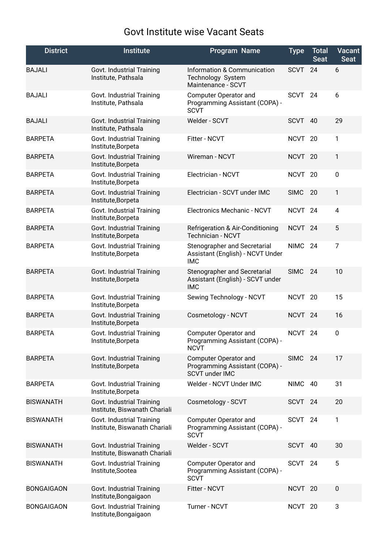## Govt Institute wise Vacant Seats

| <b>District</b>   | <b>Institute</b>                                           | Program Name                                                                      | <b>Type</b>        | <b>Total</b><br><b>Seat</b> | <b>Vacant</b><br><b>Seat</b> |
|-------------------|------------------------------------------------------------|-----------------------------------------------------------------------------------|--------------------|-----------------------------|------------------------------|
| <b>BAJALI</b>     | Govt. Industrial Training<br>Institute, Pathsala           | <b>Information &amp; Communication</b><br>Technology System<br>Maintenance - SCVT | <b>SCVT</b>        | 24                          | 6                            |
| <b>BAJALI</b>     | Govt. Industrial Training<br>Institute, Pathsala           | <b>Computer Operator and</b><br>Programming Assistant (COPA) -<br><b>SCVT</b>     | <b>SCVT</b>        | 24                          | 6                            |
| <b>BAJALI</b>     | Govt. Industrial Training<br>Institute, Pathsala           | Welder - SCVT                                                                     | <b>SCVT</b>        | 40                          | 29                           |
| <b>BARPETA</b>    | Govt. Industrial Training<br>Institute, Borpeta            | Fitter - NCVT                                                                     | NCVT <sub>20</sub> |                             | 1                            |
| <b>BARPETA</b>    | Govt. Industrial Training<br>Institute, Borpeta            | Wireman - NCVT                                                                    | <b>NCVT</b>        | 20                          | 1                            |
| <b>BARPETA</b>    | Govt. Industrial Training<br>Institute, Borpeta            | Electrician - NCVT                                                                | NCVT <sub>20</sub> |                             | 0                            |
| <b>BARPETA</b>    | Govt. Industrial Training<br>Institute, Borpeta            | Electrician - SCVT under IMC                                                      | <b>SIMC</b>        | 20                          | $\mathbf{1}$                 |
| <b>BARPETA</b>    | Govt. Industrial Training<br>Institute, Borpeta            | Electronics Mechanic - NCVT                                                       | <b>NCVT</b>        | 24                          | 4                            |
| <b>BARPETA</b>    | Govt. Industrial Training<br>Institute, Borpeta            | Refrigeration & Air-Conditioning<br>Technician - NCVT                             | NCVT <sub>24</sub> |                             | 5                            |
| <b>BARPETA</b>    | Govt. Industrial Training<br>Institute, Borpeta            | Stenographer and Secretarial<br>Assistant (English) - NCVT Under<br><b>IMC</b>    | <b>NIMC</b>        | 24                          | $\overline{7}$               |
| <b>BARPETA</b>    | Govt. Industrial Training<br>Institute, Borpeta            | Stenographer and Secretarial<br>Assistant (English) - SCVT under<br><b>IMC</b>    | <b>SIMC</b>        | 24                          | 10                           |
| <b>BARPETA</b>    | Govt. Industrial Training<br>Institute, Borpeta            | Sewing Technology - NCVT                                                          | <b>NCVT</b>        | 20                          | 15                           |
| <b>BARPETA</b>    | Govt. Industrial Training<br>Institute, Borpeta            | Cosmetology - NCVT                                                                | NCVT <sub>24</sub> |                             | 16                           |
| <b>BARPETA</b>    | Govt. Industrial Training<br>Institute, Borpeta            | <b>Computer Operator and</b><br>Programming Assistant (COPA) -<br><b>NCVT</b>     | NCVT <sub>24</sub> |                             | 0                            |
| <b>BARPETA</b>    | Govt. Industrial Training<br>Institute, Borpeta            | Computer Operator and<br>Programming Assistant (COPA) -<br><b>SCVT under IMC</b>  | <b>SIMC</b>        | 24                          | 17                           |
| <b>BARPETA</b>    | Govt. Industrial Training<br>Institute, Borpeta            | Welder - NCVT Under IMC                                                           | <b>NIMC</b>        | 40                          | 31                           |
| <b>BISWANATH</b>  | Govt. Industrial Training<br>Institute, Biswanath Chariali | Cosmetology - SCVT                                                                | SCVT 24            |                             | 20                           |
| <b>BISWANATH</b>  | Govt. Industrial Training<br>Institute, Biswanath Chariali | Computer Operator and<br>Programming Assistant (COPA) -<br><b>SCVT</b>            | SCVT               | 24                          | 1                            |
| <b>BISWANATH</b>  | Govt. Industrial Training<br>Institute, Biswanath Chariali | Welder - SCVT                                                                     | <b>SCVT</b>        | 40                          | 30                           |
| <b>BISWANATH</b>  | Govt. Industrial Training<br>Institute, Sootea             | Computer Operator and<br>Programming Assistant (COPA) -<br><b>SCVT</b>            | SCVT               | 24                          | 5                            |
| <b>BONGAIGAON</b> | Govt. Industrial Training<br>Institute, Bongaigaon         | Fitter - NCVT                                                                     | <b>NCVT</b>        | 20                          | 0                            |
| <b>BONGAIGAON</b> | Govt. Industrial Training<br>Institute, Bongaigaon         | Turner - NCVT                                                                     | NCVT <sub>20</sub> |                             | 3                            |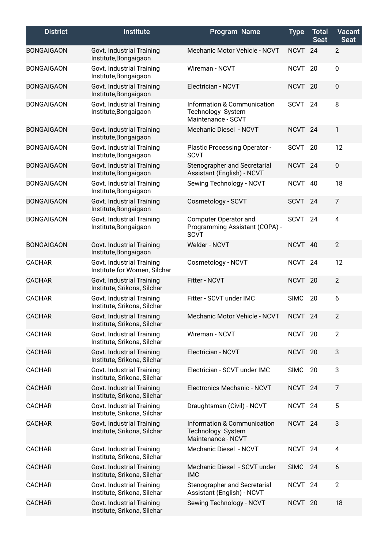| <b>District</b>   | <b>Institute</b>                                          | Program Name                                                           | <b>Type</b>        | <b>Total</b><br><b>Seat</b> | <b>Vacant</b><br><b>Seat</b> |
|-------------------|-----------------------------------------------------------|------------------------------------------------------------------------|--------------------|-----------------------------|------------------------------|
| <b>BONGAIGAON</b> | Govt. Industrial Training<br>Institute, Bongaigaon        | Mechanic Motor Vehicle - NCVT                                          | <b>NCVT</b>        | 24                          | $\overline{2}$               |
| <b>BONGAIGAON</b> | Govt. Industrial Training<br>Institute, Bongaigaon        | Wireman - NCVT                                                         | <b>NCVT</b>        | 20                          | $\pmb{0}$                    |
| <b>BONGAIGAON</b> | Govt. Industrial Training<br>Institute, Bongaigaon        | Electrician - NCVT                                                     | NCVT <sub>20</sub> |                             | 0                            |
| <b>BONGAIGAON</b> | Govt. Industrial Training<br>Institute, Bongaigaon        | Information & Communication<br>Technology System<br>Maintenance - SCVT | <b>SCVT</b>        | 24                          | 8                            |
| <b>BONGAIGAON</b> | Govt. Industrial Training<br>Institute, Bongaigaon        | Mechanic Diesel - NCVT                                                 | <b>NCVT</b>        | 24                          | $\mathbf{1}$                 |
| <b>BONGAIGAON</b> | Govt. Industrial Training<br>Institute, Bongaigaon        | Plastic Processing Operator -<br><b>SCVT</b>                           | <b>SCVT</b>        | 20                          | 12                           |
| <b>BONGAIGAON</b> | Govt. Industrial Training<br>Institute, Bongaigaon        | Stenographer and Secretarial<br>Assistant (English) - NCVT             | NCVT <sub>24</sub> |                             | $\pmb{0}$                    |
| <b>BONGAIGAON</b> | Govt. Industrial Training<br>Institute, Bongaigaon        | Sewing Technology - NCVT                                               | <b>NCVT</b>        | 40                          | 18                           |
| <b>BONGAIGAON</b> | Govt. Industrial Training<br>Institute, Bongaigaon        | Cosmetology - SCVT                                                     | <b>SCVT</b>        | 24                          | $\overline{7}$               |
| <b>BONGAIGAON</b> | Govt. Industrial Training<br>Institute, Bongaigaon        | Computer Operator and<br>Programming Assistant (COPA) -<br><b>SCVT</b> | <b>SCVT</b>        | 24                          | 4                            |
| <b>BONGAIGAON</b> | Govt. Industrial Training<br>Institute, Bongaigaon        | Welder - NCVT                                                          | NCVT 40            |                             | $\overline{2}$               |
| <b>CACHAR</b>     | Govt. Industrial Training<br>Institute for Women, Silchar | Cosmetology - NCVT                                                     | <b>NCVT</b>        | 24                          | 12                           |
| <b>CACHAR</b>     | Govt. Industrial Training<br>Institute, Srikona, Silchar  | Fitter - NCVT                                                          | NCVT               | 20                          | $\overline{2}$               |
| <b>CACHAR</b>     | Govt. Industrial Training<br>Institute, Srikona, Silchar  | Fitter - SCVT under IMC                                                | <b>SIMC</b>        | 20                          | 6                            |
| <b>CACHAR</b>     | Govt. Industrial Training<br>Institute, Srikona, Silchar  | Mechanic Motor Vehicle - NCVT                                          | <b>NCVT</b>        | 24                          | 2                            |
| <b>CACHAR</b>     | Govt. Industrial Training<br>Institute, Srikona, Silchar  | Wireman - NCVT                                                         | NCVT <sub>20</sub> |                             | $\overline{2}$               |
| <b>CACHAR</b>     | Govt. Industrial Training<br>Institute, Srikona, Silchar  | Electrician - NCVT                                                     | <b>NCVT</b>        | 20                          | 3                            |
| <b>CACHAR</b>     | Govt. Industrial Training<br>Institute, Srikona, Silchar  | Electrician - SCVT under IMC                                           | <b>SIMC</b>        | 20                          | 3                            |
| <b>CACHAR</b>     | Govt. Industrial Training<br>Institute, Srikona, Silchar  | Electronics Mechanic - NCVT                                            | NCVT <sub>24</sub> |                             | $\overline{7}$               |
| <b>CACHAR</b>     | Govt. Industrial Training<br>Institute, Srikona, Silchar  | Draughtsman (Civil) - NCVT                                             | NCVT <sub>24</sub> |                             | 5                            |
| <b>CACHAR</b>     | Govt. Industrial Training<br>Institute, Srikona, Silchar  | Information & Communication<br>Technology System<br>Maintenance - NCVT | NCVT <sub>24</sub> |                             | 3                            |
| <b>CACHAR</b>     | Govt. Industrial Training<br>Institute, Srikona, Silchar  | Mechanic Diesel - NCVT                                                 | NCVT <sub>24</sub> |                             | 4                            |
| <b>CACHAR</b>     | Govt. Industrial Training<br>Institute, Srikona, Silchar  | Mechanic Diesel - SCVT under<br><b>IMC</b>                             | <b>SIMC</b>        | 24                          | 6                            |
| <b>CACHAR</b>     | Govt. Industrial Training<br>Institute, Srikona, Silchar  | Stenographer and Secretarial<br>Assistant (English) - NCVT             | <b>NCVT</b>        | 24                          | $\overline{2}$               |
| <b>CACHAR</b>     | Govt. Industrial Training<br>Institute, Srikona, Silchar  | Sewing Technology - NCVT                                               | NCVT <sub>20</sub> |                             | 18                           |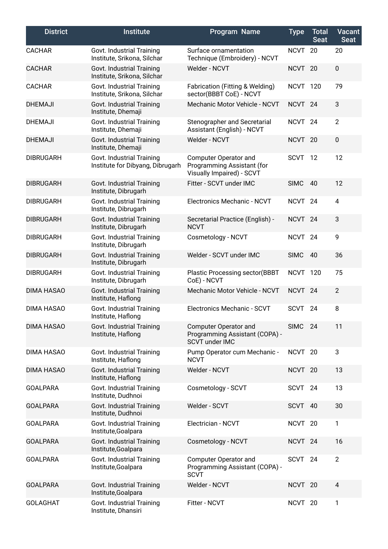| <b>District</b>   | <b>Institute</b>                                              | Program Name                                                                     | <b>Type</b>        | <b>Total</b><br><b>Seat</b> | <b>Vacant</b><br><b>Seat</b> |
|-------------------|---------------------------------------------------------------|----------------------------------------------------------------------------------|--------------------|-----------------------------|------------------------------|
| <b>CACHAR</b>     | Govt. Industrial Training<br>Institute, Srikona, Silchar      | Surface ornamentation<br>Technique (Embroidery) - NCVT                           | <b>NCVT</b>        | 20                          | 20                           |
| <b>CACHAR</b>     | Govt. Industrial Training<br>Institute, Srikona, Silchar      | Welder - NCVT                                                                    | NCVT <sub>20</sub> |                             | $\pmb{0}$                    |
| <b>CACHAR</b>     | Govt. Industrial Training<br>Institute, Srikona, Silchar      | Fabrication (Fitting & Welding)<br>sector(BBBT CoE) - NCVT                       | NCVT 120           |                             | 79                           |
| <b>DHEMAJI</b>    | Govt. Industrial Training<br>Institute, Dhemaji               | Mechanic Motor Vehicle - NCVT                                                    | NCVT <sub>24</sub> |                             | 3                            |
| <b>DHEMAJI</b>    | Govt. Industrial Training<br>Institute, Dhemaji               | Stenographer and Secretarial<br>Assistant (English) - NCVT                       | <b>NCVT</b>        | 24                          | $\overline{2}$               |
| <b>DHEMAJI</b>    | Govt. Industrial Training<br>Institute, Dhemaji               | Welder - NCVT                                                                    | NCVT <sub>20</sub> |                             | 0                            |
| <b>DIBRUGARH</b>  | Govt. Industrial Training<br>Institute for Dibyang, Dibrugarh | Computer Operator and<br>Programming Assistant (for<br>Visually Impaired) - SCVT | <b>SCVT</b>        | 12                          | 12                           |
| <b>DIBRUGARH</b>  | Govt. Industrial Training<br>Institute, Dibrugarh             | Fitter - SCVT under IMC                                                          | <b>SIMC</b>        | 40                          | 12                           |
| <b>DIBRUGARH</b>  | Govt. Industrial Training<br>Institute, Dibrugarh             | Electronics Mechanic - NCVT                                                      | NCVT <sub>24</sub> |                             | $\overline{4}$               |
| <b>DIBRUGARH</b>  | Govt. Industrial Training<br>Institute, Dibrugarh             | Secretarial Practice (English) -<br><b>NCVT</b>                                  | NCVT <sub>24</sub> |                             | 3                            |
| <b>DIBRUGARH</b>  | Govt. Industrial Training<br>Institute, Dibrugarh             | Cosmetology - NCVT                                                               | NCVT <sub>24</sub> |                             | 9                            |
| <b>DIBRUGARH</b>  | Govt. Industrial Training<br>Institute, Dibrugarh             | Welder - SCVT under IMC                                                          | <b>SIMC</b>        | 40                          | 36                           |
| <b>DIBRUGARH</b>  | Govt. Industrial Training<br>Institute, Dibrugarh             | <b>Plastic Processing sector(BBBT</b><br>CoE) - NCVT                             | NCVT 120           |                             | 75                           |
| <b>DIMA HASAO</b> | Govt. Industrial Training<br>Institute, Haflong               | Mechanic Motor Vehicle - NCVT                                                    | NCVT <sub>24</sub> |                             | $\overline{2}$               |
| <b>DIMA HASAO</b> | Govt. Industrial Training<br>Institute, Haflong               | Electronics Mechanic - SCVT                                                      | <b>SCVT</b>        | 24                          | 8                            |
| <b>DIMA HASAO</b> | Govt. Industrial Training<br>Institute, Haflong               | Computer Operator and<br>Programming Assistant (COPA) -<br><b>SCVT under IMC</b> | SIMC 24            |                             | 11                           |
| <b>DIMA HASAO</b> | Govt. Industrial Training<br>Institute, Haflong               | Pump Operator cum Mechanic -<br><b>NCVT</b>                                      | NCVT <sub>20</sub> |                             | 3                            |
| <b>DIMA HASAO</b> | Govt. Industrial Training<br>Institute, Haflong               | Welder - NCVT                                                                    | NCVT <sub>20</sub> |                             | 13                           |
| <b>GOALPARA</b>   | Govt. Industrial Training<br>Institute, Dudhnoi               | Cosmetology - SCVT                                                               | SCVT               | 24                          | 13                           |
| <b>GOALPARA</b>   | Govt. Industrial Training<br>Institute, Dudhnoi               | Welder - SCVT                                                                    | <b>SCVT</b>        | - 40                        | 30                           |
| <b>GOALPARA</b>   | Govt. Industrial Training<br>Institute, Goalpara              | Electrician - NCVT                                                               | NCVT <sub>20</sub> |                             | $\mathbf{1}$                 |
| <b>GOALPARA</b>   | Govt. Industrial Training<br>Institute, Goalpara              | Cosmetology - NCVT                                                               | NCVT <sub>24</sub> |                             | 16                           |
| <b>GOALPARA</b>   | Govt. Industrial Training<br>Institute, Goalpara              | <b>Computer Operator and</b><br>Programming Assistant (COPA) -<br><b>SCVT</b>    | SCVT 24            |                             | $\overline{2}$               |
| <b>GOALPARA</b>   | Govt. Industrial Training<br>Institute, Goalpara              | Welder - NCVT                                                                    | NCVT <sub>20</sub> |                             | 4                            |
| <b>GOLAGHAT</b>   | Govt. Industrial Training<br>Institute, Dhansiri              | Fitter - NCVT                                                                    | NCVT <sub>20</sub> |                             | 1                            |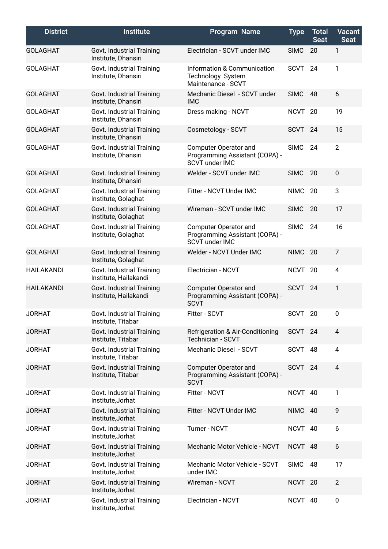| <b>District</b>   | <b>Institute</b>                                   | Program Name                                                                     | <b>Type</b>        | <b>Total</b><br><b>Seat</b> | Vacant<br><b>Seat</b> |
|-------------------|----------------------------------------------------|----------------------------------------------------------------------------------|--------------------|-----------------------------|-----------------------|
| <b>GOLAGHAT</b>   | Govt. Industrial Training<br>Institute, Dhansiri   | Electrician - SCVT under IMC                                                     | <b>SIMC</b>        | 20                          | 1                     |
| <b>GOLAGHAT</b>   | Govt. Industrial Training<br>Institute, Dhansiri   | Information & Communication<br>Technology System<br>Maintenance - SCVT           | <b>SCVT</b>        | 24                          | 1                     |
| <b>GOLAGHAT</b>   | Govt. Industrial Training<br>Institute, Dhansiri   | Mechanic Diesel - SCVT under<br><b>IMC</b>                                       | <b>SIMC</b>        | 48                          | 6                     |
| <b>GOLAGHAT</b>   | Govt. Industrial Training<br>Institute, Dhansiri   | Dress making - NCVT                                                              | NCVT <sub>20</sub> |                             | 19                    |
| <b>GOLAGHAT</b>   | Govt. Industrial Training<br>Institute, Dhansiri   | Cosmetology - SCVT                                                               | <b>SCVT</b>        | 24                          | 15                    |
| <b>GOLAGHAT</b>   | Govt. Industrial Training<br>Institute, Dhansiri   | Computer Operator and<br>Programming Assistant (COPA) -<br><b>SCVT under IMC</b> | <b>SIMC</b>        | 24                          | $\overline{2}$        |
| <b>GOLAGHAT</b>   | Govt. Industrial Training<br>Institute, Dhansiri   | Welder - SCVT under IMC                                                          | <b>SIMC</b>        | 20                          | $\pmb{0}$             |
| <b>GOLAGHAT</b>   | Govt. Industrial Training<br>Institute, Golaghat   | Fitter - NCVT Under IMC                                                          | <b>NIMC</b>        | 20                          | 3                     |
| <b>GOLAGHAT</b>   | Govt. Industrial Training<br>Institute, Golaghat   | Wireman - SCVT under IMC                                                         | <b>SIMC</b>        | 20                          | 17                    |
| <b>GOLAGHAT</b>   | Govt. Industrial Training<br>Institute, Golaghat   | Computer Operator and<br>Programming Assistant (COPA) -<br><b>SCVT under IMC</b> | <b>SIMC</b>        | 24                          | 16                    |
| <b>GOLAGHAT</b>   | Govt. Industrial Training<br>Institute, Golaghat   | Welder - NCVT Under IMC                                                          | <b>NIMC</b>        | 20                          | $\overline{7}$        |
| <b>HAILAKANDI</b> | Govt. Industrial Training<br>Institute, Hailakandi | Electrician - NCVT                                                               | <b>NCVT</b>        | 20                          | 4                     |
| <b>HAILAKANDI</b> | Govt. Industrial Training<br>Institute, Hailakandi | Computer Operator and<br>Programming Assistant (COPA) -<br><b>SCVT</b>           | <b>SCVT</b>        | 24                          | 1                     |
| <b>JORHAT</b>     | Govt. Industrial Training<br>Institute, Titabar    | Fitter - SCVT                                                                    | <b>SCVT</b>        | 20                          | 0                     |
| <b>JORHAT</b>     | Govt. Industrial Training<br>Institute, Titabar    | Refrigeration & Air-Conditioning<br>Technician - SCVT                            | SCVT <sub>24</sub> |                             | 4                     |
| <b>JORHAT</b>     | Govt. Industrial Training<br>Institute, Titabar    | Mechanic Diesel - SCVT                                                           | SCVT 48            |                             | $\overline{4}$        |
| <b>JORHAT</b>     | Govt. Industrial Training<br>Institute, Titabar    | <b>Computer Operator and</b><br>Programming Assistant (COPA) -<br><b>SCVT</b>    | <b>SCVT</b>        | 24                          | $\overline{4}$        |
| <b>JORHAT</b>     | Govt. Industrial Training<br>Institute, Jorhat     | Fitter - NCVT                                                                    | NCVT 40            |                             | 1                     |
| <b>JORHAT</b>     | Govt. Industrial Training<br>Institute, Jorhat     | Fitter - NCVT Under IMC                                                          | NIMC 40            |                             | 9                     |
| <b>JORHAT</b>     | Govt. Industrial Training<br>Institute, Jorhat     | Turner - NCVT                                                                    | NCVT 40            |                             | 6                     |
| <b>JORHAT</b>     | Govt. Industrial Training<br>Institute, Jorhat     | Mechanic Motor Vehicle - NCVT                                                    | NCVT 48            |                             | 6                     |
| <b>JORHAT</b>     | Govt. Industrial Training<br>Institute, Jorhat     | Mechanic Motor Vehicle - SCVT<br>under IMC                                       | <b>SIMC</b>        | 48                          | 17                    |
| <b>JORHAT</b>     | Govt. Industrial Training<br>Institute, Jorhat     | Wireman - NCVT                                                                   | NCVT <sub>20</sub> |                             | $\overline{2}$        |
| <b>JORHAT</b>     | Govt. Industrial Training<br>Institute, Jorhat     | Electrician - NCVT                                                               | NCVT 40            |                             | 0                     |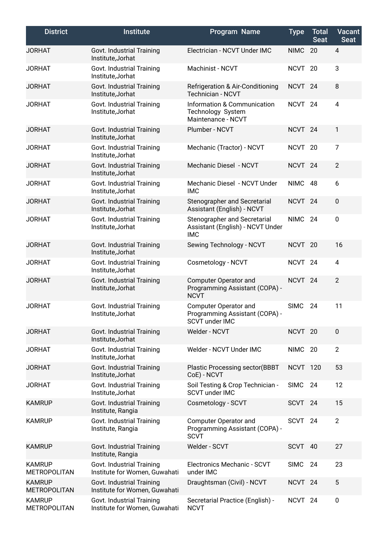| <b>District</b>                      | <b>Institute</b>                                           | Program Name                                                                     | <b>Type</b>        | <b>Total</b><br><b>Seat</b> | <b>Vacant</b><br><b>Seat</b> |
|--------------------------------------|------------------------------------------------------------|----------------------------------------------------------------------------------|--------------------|-----------------------------|------------------------------|
| <b>JORHAT</b>                        | Govt. Industrial Training<br>Institute, Jorhat             | Electrician - NCVT Under IMC                                                     | <b>NIMC</b>        | 20                          | 4                            |
| <b>JORHAT</b>                        | Govt. Industrial Training<br>Institute, Jorhat             | Machinist - NCVT                                                                 | <b>NCVT</b>        | 20                          | 3                            |
| <b>JORHAT</b>                        | Govt. Industrial Training<br>Institute, Jorhat             | <b>Refrigeration &amp; Air-Conditioning</b><br>Technician - NCVT                 | <b>NCVT</b>        | 24                          | 8                            |
| <b>JORHAT</b>                        | Govt. Industrial Training<br>Institute, Jorhat             | Information & Communication<br>Technology System<br>Maintenance - NCVT           | <b>NCVT</b>        | 24                          | 4                            |
| <b>JORHAT</b>                        | Govt. Industrial Training<br>Institute, Jorhat             | Plumber - NCVT                                                                   | <b>NCVT</b>        | 24                          | 1                            |
| <b>JORHAT</b>                        | Govt. Industrial Training<br>Institute, Jorhat             | Mechanic (Tractor) - NCVT                                                        | NCVT <sub>20</sub> |                             | 7                            |
| <b>JORHAT</b>                        | Govt. Industrial Training<br>Institute, Jorhat             | Mechanic Diesel - NCVT                                                           | NCVT <sub>24</sub> |                             | $\overline{2}$               |
| <b>JORHAT</b>                        | Govt. Industrial Training<br>Institute, Jorhat             | Mechanic Diesel - NCVT Under<br><b>IMC</b>                                       | <b>NIMC</b>        | 48                          | 6                            |
| <b>JORHAT</b>                        | Govt. Industrial Training<br>Institute, Jorhat             | Stenographer and Secretarial<br>Assistant (English) - NCVT                       | <b>NCVT</b>        | 24                          | $\pmb{0}$                    |
| <b>JORHAT</b>                        | Govt. Industrial Training<br>Institute, Jorhat             | Stenographer and Secretarial<br>Assistant (English) - NCVT Under<br><b>IMC</b>   | <b>NIMC</b>        | 24                          | 0                            |
| <b>JORHAT</b>                        | Govt. Industrial Training<br>Institute, Jorhat             | Sewing Technology - NCVT                                                         | NCVT <sub>20</sub> |                             | 16                           |
| <b>JORHAT</b>                        | Govt. Industrial Training<br>Institute, Jorhat             | Cosmetology - NCVT                                                               | <b>NCVT</b>        | 24                          | 4                            |
| <b>JORHAT</b>                        | Govt. Industrial Training<br>Institute, Jorhat             | Computer Operator and<br>Programming Assistant (COPA) -<br><b>NCVT</b>           | NCVT <sub>24</sub> |                             | $\overline{2}$               |
| <b>JORHAT</b>                        | Govt. Industrial Training<br>Institute, Jorhat             | <b>Computer Operator and</b><br>Programming Assistant (COPA) -<br>SCVT under IMC | <b>SIMC</b>        | 24                          | 11                           |
| <b>JORHAT</b>                        | Govt. Industrial Training<br>Institute, Jorhat             | Welder - NCVT                                                                    | NCVT <sub>20</sub> |                             | 0                            |
| <b>JORHAT</b>                        | Govt. Industrial Training<br>Institute, Jorhat             | Welder - NCVT Under IMC                                                          | <b>NIMC</b>        | 20                          | $\overline{2}$               |
| <b>JORHAT</b>                        | Govt. Industrial Training<br>Institute, Jorhat             | <b>Plastic Processing sector(BBBT</b><br>CoE) - NCVT                             | NCVT 120           |                             | 53                           |
| <b>JORHAT</b>                        | Govt. Industrial Training<br>Institute, Jorhat             | Soil Testing & Crop Technician -<br><b>SCVT under IMC</b>                        | <b>SIMC</b>        | 24                          | 12                           |
| <b>KAMRUP</b>                        | Govt. Industrial Training<br>Institute, Rangia             | Cosmetology - SCVT                                                               | <b>SCVT</b>        | 24                          | 15                           |
| <b>KAMRUP</b>                        | Govt. Industrial Training<br>Institute, Rangia             | <b>Computer Operator and</b><br>Programming Assistant (COPA) -<br><b>SCVT</b>    | <b>SCVT</b>        | 24                          | $\overline{2}$               |
| <b>KAMRUP</b>                        | Govt. Industrial Training<br>Institute, Rangia             | Welder - SCVT                                                                    | <b>SCVT</b>        | 40                          | 27                           |
| <b>KAMRUP</b><br><b>METROPOLITAN</b> | Govt. Industrial Training<br>Institute for Women, Guwahati | Electronics Mechanic - SCVT<br>under IMC                                         | <b>SIMC</b>        | 24                          | 23                           |
| <b>KAMRUP</b><br><b>METROPOLITAN</b> | Govt. Industrial Training<br>Institute for Women, Guwahati | Draughtsman (Civil) - NCVT                                                       | NCVT <sub>24</sub> |                             | 5                            |
| <b>KAMRUP</b><br><b>METROPOLITAN</b> | Govt. Industrial Training<br>Institute for Women, Guwahati | Secretarial Practice (English) -<br><b>NCVT</b>                                  | NCVT <sub>24</sub> |                             | 0                            |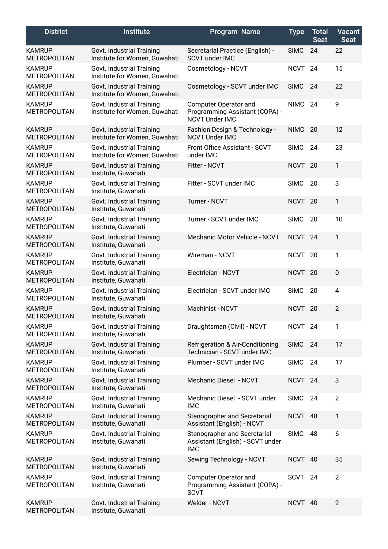| <b>District</b>                      | <b>Institute</b>                                           | Program Name                                                                     | <b>Type</b>        | <b>Total</b><br><b>Seat</b> | <b>Vacant</b><br><b>Seat</b> |
|--------------------------------------|------------------------------------------------------------|----------------------------------------------------------------------------------|--------------------|-----------------------------|------------------------------|
| <b>KAMRUP</b><br><b>METROPOLITAN</b> | Govt. Industrial Training<br>Institute for Women, Guwahati | Secretarial Practice (English) -<br><b>SCVT under IMC</b>                        | <b>SIMC</b>        | 24                          | 22                           |
| <b>KAMRUP</b><br><b>METROPOLITAN</b> | Govt. Industrial Training<br>Institute for Women, Guwahati | Cosmetology - NCVT                                                               | <b>NCVT</b>        | 24                          | 15                           |
| <b>KAMRUP</b><br><b>METROPOLITAN</b> | Govt. Industrial Training<br>Institute for Women, Guwahati | Cosmetology - SCVT under IMC                                                     | <b>SIMC</b>        | 24                          | 22                           |
| <b>KAMRUP</b><br><b>METROPOLITAN</b> | Govt. Industrial Training<br>Institute for Women, Guwahati | Computer Operator and<br>Programming Assistant (COPA) -<br><b>NCVT Under IMC</b> | <b>NIMC</b>        | 24                          | 9                            |
| <b>KAMRUP</b><br><b>METROPOLITAN</b> | Govt. Industrial Training<br>Institute for Women, Guwahati | Fashion Design & Technology -<br><b>NCVT Under IMC</b>                           | <b>NIMC</b>        | 20                          | 12                           |
| <b>KAMRUP</b><br><b>METROPOLITAN</b> | Govt. Industrial Training<br>Institute for Women, Guwahati | Front Office Assistant - SCVT<br>under IMC                                       | <b>SIMC</b>        | 24                          | 23                           |
| <b>KAMRUP</b><br><b>METROPOLITAN</b> | Govt. Industrial Training<br>Institute, Guwahati           | Fitter - NCVT                                                                    | NCVT 20            |                             | $\mathbf{1}$                 |
| <b>KAMRUP</b><br><b>METROPOLITAN</b> | Govt. Industrial Training<br>Institute, Guwahati           | Fitter - SCVT under IMC                                                          | <b>SIMC</b>        | 20                          | 3                            |
| <b>KAMRUP</b><br><b>METROPOLITAN</b> | Govt. Industrial Training<br>Institute, Guwahati           | <b>Turner - NCVT</b>                                                             | NCVT <sub>20</sub> |                             | $\mathbf{1}$                 |
| <b>KAMRUP</b><br><b>METROPOLITAN</b> | Govt. Industrial Training<br>Institute, Guwahati           | Turner - SCVT under IMC                                                          | <b>SIMC</b>        | 20                          | 10                           |
| <b>KAMRUP</b><br><b>METROPOLITAN</b> | Govt. Industrial Training<br>Institute, Guwahati           | Mechanic Motor Vehicle - NCVT                                                    | NCVT <sub>24</sub> |                             | $\mathbf{1}$                 |
| <b>KAMRUP</b><br><b>METROPOLITAN</b> | Govt. Industrial Training<br>Institute, Guwahati           | Wireman - NCVT                                                                   | <b>NCVT</b>        | 20                          | 1                            |
| <b>KAMRUP</b><br><b>METROPOLITAN</b> | Govt. Industrial Training<br>Institute, Guwahati           | Electrician - NCVT                                                               | NCVT 20            |                             | $\mathbf 0$                  |
| <b>KAMRUP</b><br><b>METROPOLITAN</b> | Govt. Industrial Training<br>Institute, Guwahati           | Electrician - SCVT under IMC                                                     | <b>SIMC</b>        | 20                          | 4                            |
| <b>KAMRUP</b><br><b>METROPOLITAN</b> | Govt. Industrial Training<br>Institute, Guwahati           | Machinist - NCVT                                                                 | NCVT 20            |                             | $\overline{2}$               |
| <b>KAMRUP</b><br><b>METROPOLITAN</b> | Govt. Industrial Training<br>Institute, Guwahati           | Draughtsman (Civil) - NCVT                                                       | NCVT <sub>24</sub> |                             | 1                            |
| <b>KAMRUP</b><br><b>METROPOLITAN</b> | Govt. Industrial Training<br>Institute, Guwahati           | Refrigeration & Air-Conditioning<br>Technician - SCVT under IMC                  | <b>SIMC</b>        | 24                          | 17                           |
| <b>KAMRUP</b><br><b>METROPOLITAN</b> | Govt. Industrial Training<br>Institute, Guwahati           | Plumber - SCVT under IMC                                                         | <b>SIMC</b>        | 24                          | 17                           |
| <b>KAMRUP</b><br><b>METROPOLITAN</b> | Govt. Industrial Training<br>Institute, Guwahati           | Mechanic Diesel - NCVT                                                           | NCVT <sub>24</sub> |                             | 3                            |
| <b>KAMRUP</b><br><b>METROPOLITAN</b> | Govt. Industrial Training<br>Institute, Guwahati           | Mechanic Diesel - SCVT under<br><b>IMC</b>                                       | <b>SIMC</b>        | 24                          | $\overline{2}$               |
| <b>KAMRUP</b><br><b>METROPOLITAN</b> | Govt. Industrial Training<br>Institute, Guwahati           | Stenographer and Secretarial<br>Assistant (English) - NCVT                       | NCVT 48            |                             | $\mathbf{1}$                 |
| <b>KAMRUP</b><br><b>METROPOLITAN</b> | Govt. Industrial Training<br>Institute, Guwahati           | Stenographer and Secretarial<br>Assistant (English) - SCVT under<br><b>IMC</b>   | <b>SIMC</b>        | 48                          | 6                            |
| <b>KAMRUP</b><br><b>METROPOLITAN</b> | Govt. Industrial Training<br>Institute, Guwahati           | Sewing Technology - NCVT                                                         | NCVT 40            |                             | 35                           |
| <b>KAMRUP</b><br><b>METROPOLITAN</b> | Govt. Industrial Training<br>Institute, Guwahati           | <b>Computer Operator and</b><br>Programming Assistant (COPA) -<br><b>SCVT</b>    | SCVT               | 24                          | $\overline{2}$               |
| <b>KAMRUP</b><br><b>METROPOLITAN</b> | Govt. Industrial Training<br>Institute, Guwahati           | Welder - NCVT                                                                    | NCVT 40            |                             | $\overline{2}$               |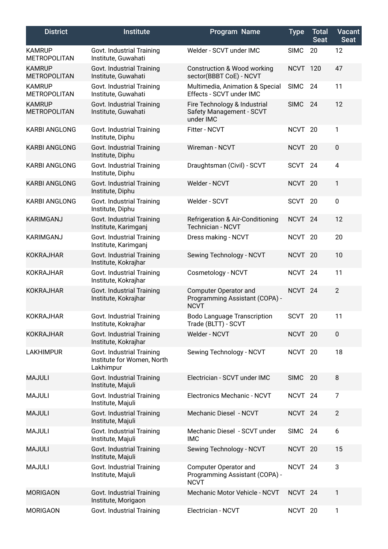| <b>District</b>                      | <b>Institute</b>                                                     | <b>Program Name</b>                                                     | <b>Type</b>        | <b>Total</b><br><b>Seat</b> | <b>Vacant</b><br><b>Seat</b> |
|--------------------------------------|----------------------------------------------------------------------|-------------------------------------------------------------------------|--------------------|-----------------------------|------------------------------|
| <b>KAMRUP</b><br><b>METROPOLITAN</b> | Govt. Industrial Training<br>Institute, Guwahati                     | Welder - SCVT under IMC                                                 | <b>SIMC</b>        | 20                          | 12                           |
| <b>KAMRUP</b><br><b>METROPOLITAN</b> | Govt. Industrial Training<br>Institute, Guwahati                     | <b>Construction &amp; Wood working</b><br>sector(BBBT CoE) - NCVT       | NCVT 120           |                             | 47                           |
| <b>KAMRUP</b><br><b>METROPOLITAN</b> | Govt. Industrial Training<br>Institute, Guwahati                     | Multimedia, Animation & Special<br>Effects - SCVT under IMC             | <b>SIMC</b>        | 24                          | 11                           |
| <b>KAMRUP</b><br><b>METROPOLITAN</b> | Govt. Industrial Training<br>Institute, Guwahati                     | Fire Technology & Industrial<br>Safety Management - SCVT<br>under IMC   | <b>SIMC</b>        | 24                          | 12                           |
| <b>KARBI ANGLONG</b>                 | Govt. Industrial Training<br>Institute, Diphu                        | Fitter - NCVT                                                           | NCVT <sub>20</sub> |                             | 1                            |
| <b>KARBI ANGLONG</b>                 | Govt. Industrial Training<br>Institute, Diphu                        | Wireman - NCVT                                                          | NCVT 20            |                             | $\pmb{0}$                    |
| <b>KARBI ANGLONG</b>                 | Govt. Industrial Training<br>Institute, Diphu                        | Draughtsman (Civil) - SCVT                                              | <b>SCVT</b>        | 24                          | $\overline{\mathbf{4}}$      |
| <b>KARBI ANGLONG</b>                 | Govt. Industrial Training<br>Institute, Diphu                        | Welder - NCVT                                                           | NCVT 20            |                             | $\mathbf{1}$                 |
| <b>KARBI ANGLONG</b>                 | Govt. Industrial Training<br>Institute, Diphu                        | Welder - SCVT                                                           | <b>SCVT</b>        | 20                          | $\pmb{0}$                    |
| <b>KARIMGANJ</b>                     | Govt. Industrial Training<br>Institute, Karimganj                    | <b>Refrigeration &amp; Air-Conditioning</b><br><b>Technician - NCVT</b> | NCVT <sub>24</sub> |                             | 12                           |
| KARIMGANJ                            | Govt. Industrial Training<br>Institute, Karimganj                    | Dress making - NCVT                                                     | NCVT <sub>20</sub> |                             | 20                           |
| <b>KOKRAJHAR</b>                     | Govt. Industrial Training<br>Institute, Kokrajhar                    | Sewing Technology - NCVT                                                | NCVT <sub>20</sub> |                             | 10                           |
| <b>KOKRAJHAR</b>                     | Govt. Industrial Training<br>Institute, Kokrajhar                    | Cosmetology - NCVT                                                      | NCVT <sub>24</sub> |                             | 11                           |
| <b>KOKRAJHAR</b>                     | Govt. Industrial Training<br>Institute, Kokrajhar                    | Computer Operator and<br>Programming Assistant (COPA) -<br><b>NCVT</b>  | NCVT <sub>24</sub> |                             | $\overline{2}$               |
| <b>KOKRAJHAR</b>                     | Govt. Industrial Training<br>Institute, Kokrajhar                    | <b>Bodo Language Transcription</b><br>Trade (BLTT) - SCVT               | SCVT               | 20                          | 11                           |
| <b>KOKRAJHAR</b>                     | Govt. Industrial Training<br>Institute, Kokrajhar                    | Welder - NCVT                                                           | NCVT 20            |                             | $\pmb{0}$                    |
| <b>LAKHIMPUR</b>                     | Govt. Industrial Training<br>Institute for Women, North<br>Lakhimpur | Sewing Technology - NCVT                                                | NCVT 20            |                             | 18                           |
| <b>MAJULI</b>                        | Govt. Industrial Training<br>Institute, Majuli                       | Electrician - SCVT under IMC                                            | <b>SIMC</b>        | 20                          | 8                            |
| <b>MAJULI</b>                        | Govt. Industrial Training<br>Institute, Majuli                       | Electronics Mechanic - NCVT                                             | NCVT <sub>24</sub> |                             | $\overline{7}$               |
| <b>MAJULI</b>                        | Govt. Industrial Training<br>Institute, Majuli                       | Mechanic Diesel - NCVT                                                  | NCVT <sub>24</sub> |                             | $\overline{2}$               |
| <b>MAJULI</b>                        | Govt. Industrial Training<br>Institute, Majuli                       | Mechanic Diesel - SCVT under<br><b>IMC</b>                              | SIMC               | 24                          | 6                            |
| <b>MAJULI</b>                        | Govt. Industrial Training<br>Institute, Majuli                       | Sewing Technology - NCVT                                                | NCVT 20            |                             | 15                           |
| <b>MAJULI</b>                        | Govt. Industrial Training<br>Institute, Majuli                       | Computer Operator and<br>Programming Assistant (COPA) -<br><b>NCVT</b>  | NCVT <sub>24</sub> |                             | 3                            |
| <b>MORIGAON</b>                      | Govt. Industrial Training<br>Institute, Morigaon                     | Mechanic Motor Vehicle - NCVT                                           | NCVT <sub>24</sub> |                             | 1                            |
| <b>MORIGAON</b>                      | Govt. Industrial Training                                            | Electrician - NCVT                                                      | NCVT 20            |                             | 1                            |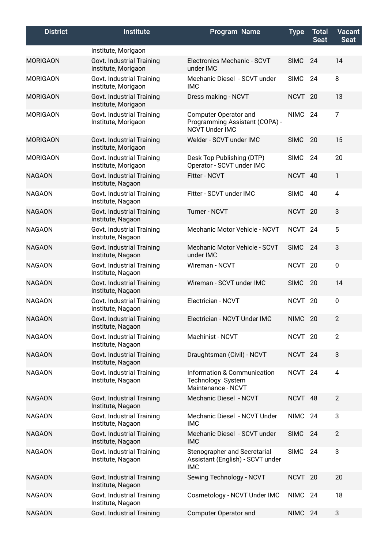| <b>District</b> | <b>Institute</b>                                 | <b>Program Name</b>                                                              | <b>Type</b>        | <b>Total</b><br><b>Seat</b> | <b>Vacant</b><br><b>Seat</b> |
|-----------------|--------------------------------------------------|----------------------------------------------------------------------------------|--------------------|-----------------------------|------------------------------|
|                 | Institute, Morigaon                              |                                                                                  |                    |                             |                              |
| <b>MORIGAON</b> | Govt. Industrial Training<br>Institute, Morigaon | Electronics Mechanic - SCVT<br>under IMC                                         | <b>SIMC</b>        | 24                          | 14                           |
| <b>MORIGAON</b> | Govt. Industrial Training<br>Institute, Morigaon | Mechanic Diesel - SCVT under<br><b>IMC</b>                                       | <b>SIMC</b>        | 24                          | 8                            |
| <b>MORIGAON</b> | Govt. Industrial Training<br>Institute, Morigaon | Dress making - NCVT                                                              | NCVT <sub>20</sub> |                             | 13                           |
| <b>MORIGAON</b> | Govt. Industrial Training<br>Institute, Morigaon | Computer Operator and<br>Programming Assistant (COPA) -<br><b>NCVT Under IMC</b> | <b>NIMC</b>        | 24                          | $\overline{7}$               |
| <b>MORIGAON</b> | Govt. Industrial Training<br>Institute, Morigaon | Welder - SCVT under IMC                                                          | <b>SIMC</b>        | 20                          | 15                           |
| <b>MORIGAON</b> | Govt. Industrial Training<br>Institute, Morigaon | Desk Top Publishing (DTP)<br>Operator - SCVT under IMC                           | <b>SIMC</b>        | -24                         | 20                           |
| <b>NAGAON</b>   | Govt. Industrial Training<br>Institute, Nagaon   | Fitter - NCVT                                                                    | NCVT 40            |                             | 1                            |
| <b>NAGAON</b>   | Govt. Industrial Training<br>Institute, Nagaon   | Fitter - SCVT under IMC                                                          | <b>SIMC</b>        | 40                          | 4                            |
| <b>NAGAON</b>   | Govt. Industrial Training<br>Institute, Nagaon   | Turner - NCVT                                                                    | NCVT <sub>20</sub> |                             | 3                            |
| <b>NAGAON</b>   | Govt. Industrial Training<br>Institute, Nagaon   | Mechanic Motor Vehicle - NCVT                                                    | NCVT <sub>24</sub> |                             | 5                            |
| <b>NAGAON</b>   | Govt. Industrial Training<br>Institute, Nagaon   | Mechanic Motor Vehicle - SCVT<br>under IMC                                       | <b>SIMC</b>        | 24                          | 3                            |
| <b>NAGAON</b>   | Govt. Industrial Training<br>Institute, Nagaon   | Wireman - NCVT                                                                   | NCVT <sub>20</sub> |                             | $\mathbf 0$                  |
| <b>NAGAON</b>   | Govt. Industrial Training<br>Institute, Nagaon   | Wireman - SCVT under IMC                                                         | <b>SIMC</b>        | 20                          | 14                           |
| <b>NAGAON</b>   | Govt. Industrial Training<br>Institute, Nagaon   | Electrician - NCVT                                                               | NCVT <sub>20</sub> |                             | $\mathbf 0$                  |
| <b>NAGAON</b>   | Govt. Industrial Training<br>Institute, Nagaon   | Electrician - NCVT Under IMC                                                     | NIMC 20            |                             | $\overline{c}$               |
| <b>NAGAON</b>   | Govt. Industrial Training<br>Institute, Nagaon   | Machinist - NCVT                                                                 | NCVT 20            |                             | $\overline{2}$               |
| <b>NAGAON</b>   | Govt. Industrial Training<br>Institute, Nagaon   | Draughtsman (Civil) - NCVT                                                       | NCVT <sub>24</sub> |                             | 3                            |
| <b>NAGAON</b>   | Govt. Industrial Training<br>Institute, Nagaon   | Information & Communication<br>Technology System<br>Maintenance - NCVT           | NCVT <sub>24</sub> |                             | $\overline{4}$               |
| <b>NAGAON</b>   | Govt. Industrial Training<br>Institute, Nagaon   | Mechanic Diesel - NCVT                                                           | NCVT 48            |                             | $\overline{2}$               |
| <b>NAGAON</b>   | Govt. Industrial Training<br>Institute, Nagaon   | Mechanic Diesel - NCVT Under<br><b>IMC</b>                                       | <b>NIMC</b>        | 24                          | 3                            |
| <b>NAGAON</b>   | Govt. Industrial Training<br>Institute, Nagaon   | Mechanic Diesel - SCVT under<br><b>IMC</b>                                       | <b>SIMC</b>        | 24                          | $\overline{2}$               |
| <b>NAGAON</b>   | Govt. Industrial Training<br>Institute, Nagaon   | Stenographer and Secretarial<br>Assistant (English) - SCVT under<br><b>IMC</b>   | <b>SIMC</b>        | 24                          | 3                            |
| <b>NAGAON</b>   | Govt. Industrial Training<br>Institute, Nagaon   | Sewing Technology - NCVT                                                         | NCVT 20            |                             | 20                           |
| <b>NAGAON</b>   | Govt. Industrial Training<br>Institute, Nagaon   | Cosmetology - NCVT Under IMC                                                     | NIMC <sub>24</sub> |                             | 18                           |
| <b>NAGAON</b>   | Govt. Industrial Training                        | Computer Operator and                                                            | <b>NIMC</b>        | -24                         | 3                            |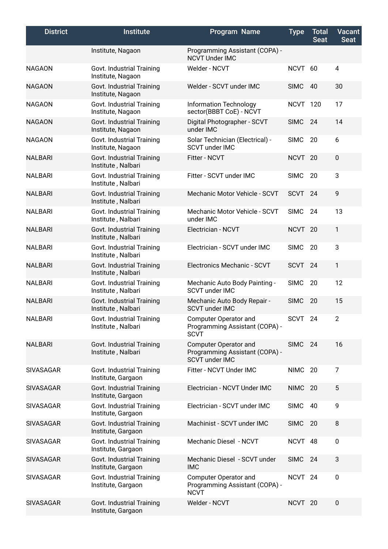| <b>District</b>  | <b>Institute</b>                                | <b>Program Name</b>                                                                     | <b>Type</b>        | <b>Total</b><br><b>Seat</b> | <b>Vacant</b><br><b>Seat</b> |
|------------------|-------------------------------------------------|-----------------------------------------------------------------------------------------|--------------------|-----------------------------|------------------------------|
|                  | Institute, Nagaon                               | Programming Assistant (COPA) -<br><b>NCVT Under IMC</b>                                 |                    |                             |                              |
| <b>NAGAON</b>    | Govt. Industrial Training<br>Institute, Nagaon  | Welder - NCVT                                                                           | NCVT 60            |                             | $\overline{4}$               |
| <b>NAGAON</b>    | Govt. Industrial Training<br>Institute, Nagaon  | Welder - SCVT under IMC                                                                 | <b>SIMC</b>        | 40                          | 30                           |
| <b>NAGAON</b>    | Govt. Industrial Training<br>Institute, Nagaon  | <b>Information Technology</b><br>sector(BBBT CoE) - NCVT                                | <b>NCVT 120</b>    |                             | 17                           |
| <b>NAGAON</b>    | Govt. Industrial Training<br>Institute, Nagaon  | Digital Photographer - SCVT<br>under IMC                                                | <b>SIMC</b>        | 24                          | 14                           |
| <b>NAGAON</b>    | Govt. Industrial Training<br>Institute, Nagaon  | Solar Technician (Electrical) -<br><b>SCVT under IMC</b>                                | <b>SIMC</b>        | 20                          | 6                            |
| <b>NALBARI</b>   | Govt. Industrial Training<br>Institute, Nalbari | Fitter - NCVT                                                                           | NCVT <sub>20</sub> |                             | $\pmb{0}$                    |
| <b>NALBARI</b>   | Govt. Industrial Training<br>Institute, Nalbari | Fitter - SCVT under IMC                                                                 | <b>SIMC</b>        | 20                          | 3                            |
| <b>NALBARI</b>   | Govt. Industrial Training<br>Institute, Nalbari | Mechanic Motor Vehicle - SCVT                                                           | <b>SCVT</b>        | 24                          | 9                            |
| <b>NALBARI</b>   | Govt. Industrial Training<br>Institute, Nalbari | Mechanic Motor Vehicle - SCVT<br>under IMC                                              | <b>SIMC</b>        | 24                          | 13                           |
| <b>NALBARI</b>   | Govt. Industrial Training<br>Institute, Nalbari | Electrician - NCVT                                                                      | <b>NCVT</b>        | -20                         | 1                            |
| <b>NALBARI</b>   | Govt. Industrial Training<br>Institute, Nalbari | Electrician - SCVT under IMC                                                            | <b>SIMC</b>        | 20                          | 3                            |
| <b>NALBARI</b>   | Govt. Industrial Training<br>Institute, Nalbari | Electronics Mechanic - SCVT                                                             | <b>SCVT</b>        | 24                          | 1                            |
| <b>NALBARI</b>   | Govt. Industrial Training<br>Institute, Nalbari | Mechanic Auto Body Painting -<br><b>SCVT under IMC</b>                                  | <b>SIMC</b>        | 20                          | 12                           |
| <b>NALBARI</b>   | Govt. Industrial Training<br>Institute, Nalbari | Mechanic Auto Body Repair -<br><b>SCVT under IMC</b>                                    | <b>SIMC</b>        | 20                          | 15                           |
| <b>NALBARI</b>   | Govt. Industrial Training<br>Institute, Nalbari | <b>Computer Operator and</b><br>Programming Assistant (COPA) -<br><b>SCVT</b>           | SCVT 24            |                             | 2                            |
| <b>NALBARI</b>   | Govt. Industrial Training<br>Institute, Nalbari | <b>Computer Operator and</b><br>Programming Assistant (COPA) -<br><b>SCVT under IMC</b> | <b>SIMC</b>        | 24                          | 16                           |
| <b>SIVASAGAR</b> | Govt. Industrial Training<br>Institute, Gargaon | Fitter - NCVT Under IMC                                                                 | NIMC 20            |                             | $\overline{7}$               |
| <b>SIVASAGAR</b> | Govt. Industrial Training<br>Institute, Gargaon | Electrician - NCVT Under IMC                                                            | NIMC               | -20                         | 5                            |
| <b>SIVASAGAR</b> | Govt. Industrial Training<br>Institute, Gargaon | Electrician - SCVT under IMC                                                            | <b>SIMC</b>        | 40                          | 9                            |
| <b>SIVASAGAR</b> | Govt. Industrial Training<br>Institute, Gargaon | Machinist - SCVT under IMC                                                              | <b>SIMC</b>        | 20                          | 8                            |
| <b>SIVASAGAR</b> | Govt. Industrial Training<br>Institute, Gargaon | Mechanic Diesel - NCVT                                                                  | NCVT 48            |                             | 0                            |
| <b>SIVASAGAR</b> | Govt. Industrial Training<br>Institute, Gargaon | Mechanic Diesel - SCVT under<br><b>IMC</b>                                              | <b>SIMC</b>        | - 24                        | 3                            |
| <b>SIVASAGAR</b> | Govt. Industrial Training<br>Institute, Gargaon | Computer Operator and<br>Programming Assistant (COPA) -<br><b>NCVT</b>                  | NCVT <sub>24</sub> |                             | 0                            |
| <b>SIVASAGAR</b> | Govt. Industrial Training<br>Institute, Gargaon | Welder - NCVT                                                                           | NCVT <sub>20</sub> |                             | 0                            |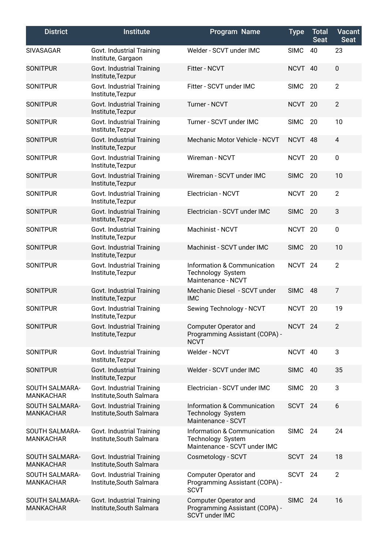| <b>District</b>                    | <b>Institute</b>                                      | Program Name                                                                     | <b>Type</b>        | <b>Total</b><br><b>Seat</b> | Vacant<br><b>Seat</b> |
|------------------------------------|-------------------------------------------------------|----------------------------------------------------------------------------------|--------------------|-----------------------------|-----------------------|
| <b>SIVASAGAR</b>                   | Govt. Industrial Training<br>Institute, Gargaon       | Welder - SCVT under IMC                                                          | <b>SIMC</b>        | 40                          | 23                    |
| <b>SONITPUR</b>                    | Govt. Industrial Training<br>Institute, Tezpur        | Fitter - NCVT                                                                    | <b>NCVT</b>        | 40                          | 0                     |
| <b>SONITPUR</b>                    | Govt. Industrial Training<br>Institute, Tezpur        | Fitter - SCVT under IMC                                                          | <b>SIMC</b>        | 20                          | $\overline{2}$        |
| <b>SONITPUR</b>                    | Govt. Industrial Training<br>Institute, Tezpur        | <b>Turner - NCVT</b>                                                             | NCVT <sub>20</sub> |                             | $\overline{2}$        |
| <b>SONITPUR</b>                    | Govt. Industrial Training<br>Institute, Tezpur        | Turner - SCVT under IMC                                                          | <b>SIMC</b>        | 20                          | 10                    |
| <b>SONITPUR</b>                    | Govt. Industrial Training<br>Institute, Tezpur        | Mechanic Motor Vehicle - NCVT                                                    | NCVT 48            |                             | $\overline{4}$        |
| <b>SONITPUR</b>                    | Govt. Industrial Training<br>Institute, Tezpur        | Wireman - NCVT                                                                   | <b>NCVT</b>        | 20                          | 0                     |
| <b>SONITPUR</b>                    | Govt. Industrial Training<br>Institute, Tezpur        | Wireman - SCVT under IMC                                                         | <b>SIMC</b>        | 20                          | 10                    |
| <b>SONITPUR</b>                    | Govt. Industrial Training<br>Institute, Tezpur        | Electrician - NCVT                                                               | <b>NCVT</b>        | 20                          | $\overline{2}$        |
| <b>SONITPUR</b>                    | Govt. Industrial Training<br>Institute, Tezpur        | Electrician - SCVT under IMC                                                     | <b>SIMC</b>        | 20                          | 3                     |
| <b>SONITPUR</b>                    | Govt. Industrial Training<br>Institute, Tezpur        | Machinist - NCVT                                                                 | <b>NCVT</b>        | 20                          | 0                     |
| <b>SONITPUR</b>                    | Govt. Industrial Training<br>Institute, Tezpur        | Machinist - SCVT under IMC                                                       | <b>SIMC</b>        | 20                          | 10                    |
| <b>SONITPUR</b>                    | Govt. Industrial Training<br>Institute, Tezpur        | Information & Communication<br>Technology System<br>Maintenance - NCVT           | <b>NCVT</b>        | 24                          | $\overline{2}$        |
| <b>SONITPUR</b>                    | Govt. Industrial Training<br>Institute, Tezpur        | Mechanic Diesel - SCVT under<br><b>IMC</b>                                       | <b>SIMC</b>        | 48                          | $\overline{7}$        |
| <b>SONITPUR</b>                    | Govt. Industrial Training<br>Institute, Tezpur        | Sewing Technology - NCVT                                                         | <b>NCVT</b>        | 20                          | 19                    |
| <b>SONITPUR</b>                    | Govt. Industrial Training<br>Institute, Tezpur        | Computer Operator and<br>Programming Assistant (COPA) -<br><b>NCVT</b>           | NCVT <sub>24</sub> |                             | 2                     |
| <b>SONITPUR</b>                    | Govt. Industrial Training<br>Institute, Tezpur        | Welder - NCVT                                                                    | NCVT 40            |                             | 3                     |
| <b>SONITPUR</b>                    | Govt. Industrial Training<br>Institute, Tezpur        | Welder - SCVT under IMC                                                          | <b>SIMC</b>        | 40                          | 35                    |
| SOUTH SALMARA-<br><b>MANKACHAR</b> | Govt. Industrial Training<br>Institute, South Salmara | Electrician - SCVT under IMC                                                     | <b>SIMC</b>        | 20                          | 3                     |
| SOUTH SALMARA-<br><b>MANKACHAR</b> | Govt. Industrial Training<br>Institute, South Salmara | Information & Communication<br>Technology System<br>Maintenance - SCVT           | <b>SCVT</b>        | 24                          | 6                     |
| SOUTH SALMARA-<br><b>MANKACHAR</b> | Govt. Industrial Training<br>Institute, South Salmara | Information & Communication<br>Technology System<br>Maintenance - SCVT under IMC | <b>SIMC</b>        | 24                          | 24                    |
| SOUTH SALMARA-<br><b>MANKACHAR</b> | Govt. Industrial Training<br>Institute, South Salmara | Cosmetology - SCVT                                                               | SCVT 24            |                             | 18                    |
| SOUTH SALMARA-<br><b>MANKACHAR</b> | Govt. Industrial Training<br>Institute, South Salmara | Computer Operator and<br>Programming Assistant (COPA) -<br><b>SCVT</b>           | SCVT               | 24                          | $\overline{2}$        |
| SOUTH SALMARA-<br><b>MANKACHAR</b> | Govt. Industrial Training<br>Institute, South Salmara | <b>Computer Operator and</b><br>Programming Assistant (COPA) -<br>SCVT under IMC | <b>SIMC</b>        | 24                          | 16                    |